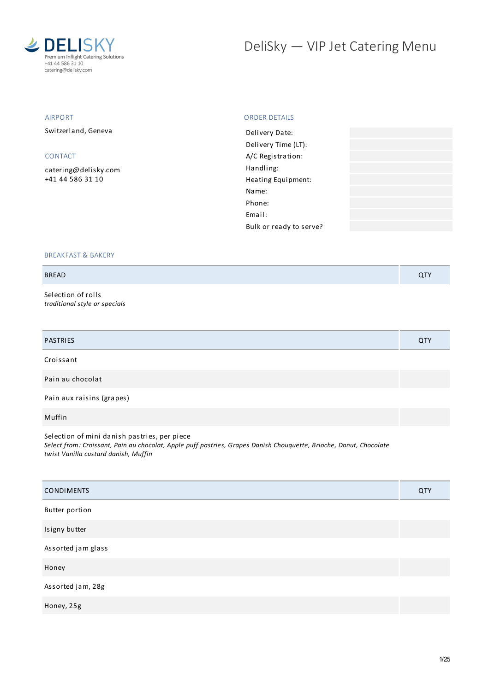

# DeliSky - VIP Jet Catering Menu

#### AIRPORT

Switzerland, Geneva

# CONTACT

[catering@delisky.com](mailto:catering@delisky.com) +41 44 586 31 10

#### ORDER DETAILS

| Delivery Date:          |  |
|-------------------------|--|
| Delivery Time (LT):     |  |
| A/C Registration:       |  |
| Handling:               |  |
| Heating Equipment:      |  |
| Name:                   |  |
| Phone:                  |  |
| Email:                  |  |
| Bulk or ready to serve? |  |
|                         |  |

#### BREAKFAST & BAKERY

### BREAD QTY

Selection of rolls *traditional style or specials*

| <b>PASTRIES</b>           | QTY |
|---------------------------|-----|
| Croissant                 |     |
| Pain au chocolat          |     |
| Pain aux raisins (grapes) |     |
| Muffin                    |     |

Selection of mini danish pastries, per piece *Select from: Croissant, Pain au chocolat, Apple puff pastries, Grapes Danish Chouquette, Brioche, Donut, Chocolate twist Vanilla custard danish, Muffin*

| <b>CONDIMENTS</b>     | QTY |
|-----------------------|-----|
| <b>Butter portion</b> |     |
| Isigny butter         |     |
| Assorted jam glass    |     |
| Honey                 |     |
| Assorted jam, 28g     |     |
| Honey, 25g            |     |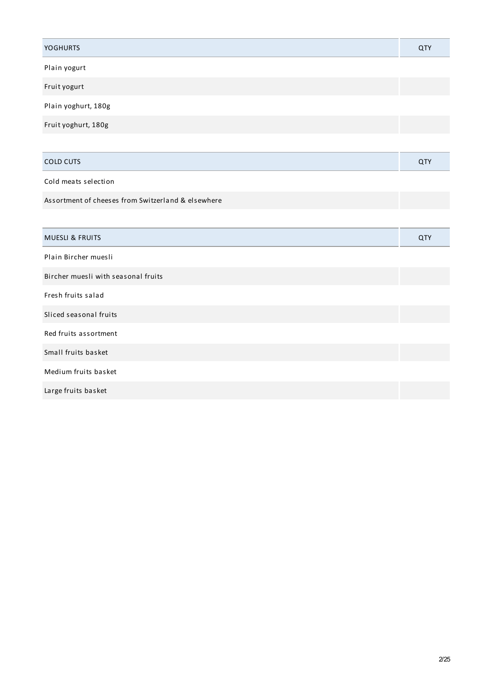| <b>YOGHURTS</b>                                    | QTY        |
|----------------------------------------------------|------------|
| Plain yogurt                                       |            |
| Fruit yogurt                                       |            |
| Plain yoghurt, 180g                                |            |
| Fruit yoghurt, 180g                                |            |
|                                                    |            |
| <b>COLD CUTS</b>                                   | QTY        |
| Cold meats selection                               |            |
| Assortment of cheeses from Switzerland & elsewhere |            |
|                                                    |            |
| <b>MUESLI &amp; FRUITS</b>                         | <b>QTY</b> |
| Plain Bircher muesli                               |            |
| Bircher muesli with seasonal fruits                |            |
| Fresh fruits salad                                 |            |
| Sliced seasonal fruits                             |            |
| Red fruits assortment                              |            |
| Small fruits basket                                |            |
| Medium fruits basket                               |            |
| Large fruits basket                                |            |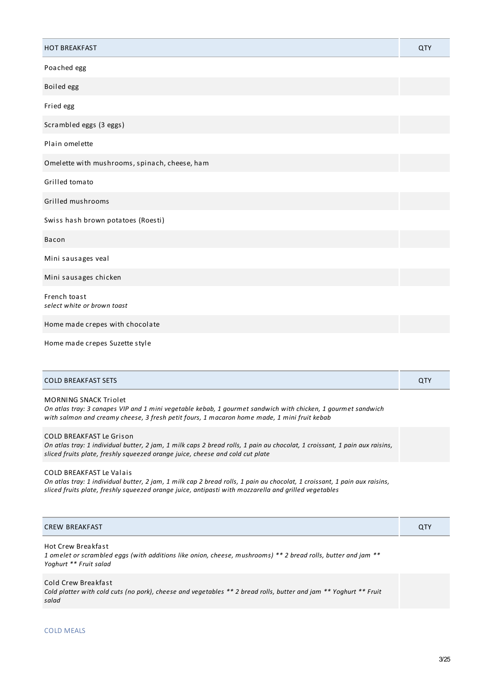| <b>HOT BREAKFAST</b>                          | QTY |
|-----------------------------------------------|-----|
| Poached egg                                   |     |
| Boiled egg                                    |     |
| Fried egg                                     |     |
| Scrambled eggs (3 eggs)                       |     |
| Plain omelette                                |     |
| Omelette with mushrooms, spinach, cheese, ham |     |
| Grilled tomato                                |     |
| Grilled mushrooms                             |     |
| Swiss hash brown potatoes (Roesti)            |     |
| Bacon                                         |     |
| Mini sausages veal                            |     |
| Mini sausages chicken                         |     |
| French toast<br>select white or brown toast   |     |
| Home made crepes with chocolate               |     |
| Home made crepes Suzette style                |     |
| <b>COLD BREAKFAST SETS</b>                    | QTY |

# MORNING SNACK Triolet

On atlas tray: 3 canapes VIP and 1 mini vegetable kebab, 1 gourmet sandwich with chicken, 1 gourmet sandwich *with salmon and creamy cheese, 3 fresh petit fours, 1 macaron home made, 1 mini fruit kebab*

#### COLD BREAKFAST Le Grison

On atlas tray: 1 individual butter, 2 jam, 1 milk caps 2 bread rolls, 1 pain au chocolat, 1 croissant, 1 pain aux raisins, *sliced fruits plate, freshly squeezed orange juice, cheese and cold cut plate*

### COLD BREAKFAST Le Valais

On atlas tray: 1 individual butter, 2 jam, 1 milk cap 2 bread rolls, 1 pain au chocolat, 1 croissant, 1 pain aux raisins, *sliced fruits plate, freshly squeezed orange juice, antipasti with mozzarella and grilled vegetables*

| <b>CREW BREAKFAST</b>                                                                                                                                             | <b>QTY</b> |
|-------------------------------------------------------------------------------------------------------------------------------------------------------------------|------------|
| Hot Crew Breakfast<br>1 omelet or scrambled eggs (with additions like onion, cheese, mushrooms) $**$ 2 bread rolls, butter and jam $**$<br>Yoghurt ** Fruit salad |            |

Cold platter with cold cuts (no pork), cheese and vegetables \*\* 2 bread rolls, butter and jam \*\* Yoghurt \*\* Fruit *salad*

Cold Crew Breakfast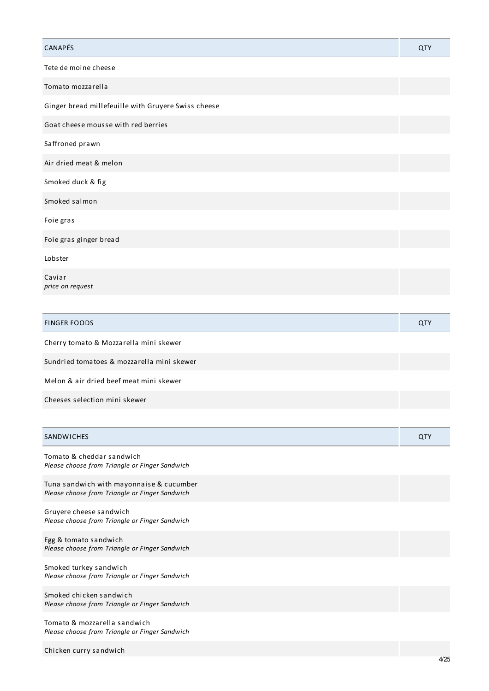| CANAPÉS                                             | <b>QTY</b> |
|-----------------------------------------------------|------------|
| Tete de moine cheese                                |            |
| Tomato mozzarella                                   |            |
| Ginger bread millefeuille with Gruyere Swiss cheese |            |
| Goat cheese mousse with red berries                 |            |
| Saffroned prawn                                     |            |
| Air dried meat & melon                              |            |
| Smoked duck & fig                                   |            |
| Smoked salmon                                       |            |
| Foie gras                                           |            |
| Foie gras ginger bread                              |            |
| Lobster                                             |            |
| Caviar<br>price on request                          |            |
|                                                     |            |
| <b>FINGER FOODS</b>                                 | QTY        |

Sundried tomatoes & mozzarella mini skewer

Melon & air dried beef meat mini skewer

Cheeses selection mini skewer

Chicken curry sandwich

| SANDWICHES                                                                                 | QTY |
|--------------------------------------------------------------------------------------------|-----|
| Tomato & cheddar sandwich<br>Please choose from Triangle or Finger Sandwich                |     |
| Tuna sandwich with mayonnaise & cucumber<br>Please choose from Triangle or Finger Sandwich |     |
| Gruyere cheese sandwich<br>Please choose from Triangle or Finger Sandwich                  |     |
| Egg & tomato sandwich<br>Please choose from Triangle or Finger Sandwich                    |     |
| Smoked turkey sandwich<br>Please choose from Triangle or Finger Sandwich                   |     |
| Smoked chicken sandwich<br>Please choose from Triangle or Finger Sandwich                  |     |
| Tomato & mozzarella sandwich<br>Please choose from Triangle or Finger Sandwich             |     |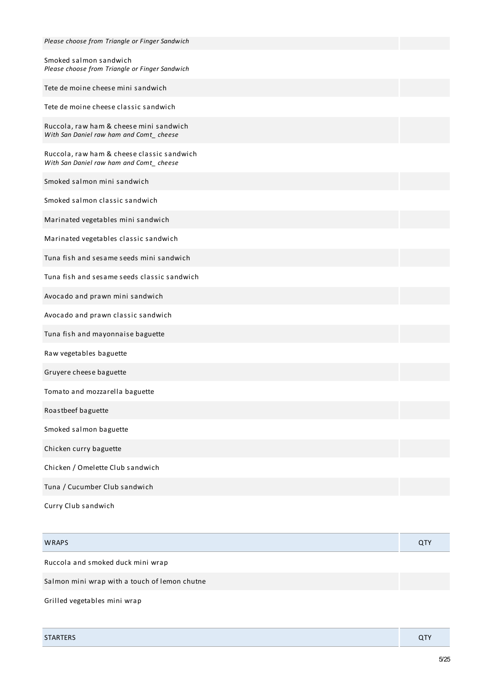| Please choose from Triangle or Finger Sandwich                                        |
|---------------------------------------------------------------------------------------|
| Smoked salmon sandwich<br>Please choose from Triangle or Finger Sandwich              |
| Tete de moine cheese mini sandwich                                                    |
| Tete de moine cheese classic sandwich                                                 |
| Ruccola, raw ham & cheese mini sandwich<br>With San Daniel raw ham and Comt_ cheese   |
| Ruccola, raw ham & cheese classic sandwich<br>With San Daniel raw ham and Comt_cheese |
| Smoked salmon mini sandwich                                                           |
| Smoked salmon classic sandwich                                                        |
| Marinated vegetables mini sandwich                                                    |
| Marinated vegetables classic sandwich                                                 |
| Tuna fish and sesame seeds mini sandwich                                              |
| Tuna fish and sesame seeds classic sandwich                                           |
| Avocado and prawn mini sandwich                                                       |
| Avocado and prawn classic sandwich                                                    |
| Tuna fish and mayonnaise baguette                                                     |
| Raw vegetables baguette                                                               |
| Gruyere cheese baguette                                                               |
| Tomato and mozzarella baguette                                                        |
| Roastbeef baguette                                                                    |
| Smoked salmon baguette                                                                |
| Chicken curry baguette                                                                |
| Chicken / Omelette Club sandwich                                                      |
| Tuna / Cucumber Club sandwich                                                         |
| Curry Club sandwich                                                                   |

| <b>WRAPS</b>                                  | <b>QTY</b> |
|-----------------------------------------------|------------|
| Ruccola and smoked duck mini wrap             |            |
| Salmon mini wrap with a touch of lemon chutne |            |
| Grilled vegetables mini wrap                  |            |

| <b>STARTERS</b><br>_____ | $\sim$ |
|--------------------------|--------|
|                          |        |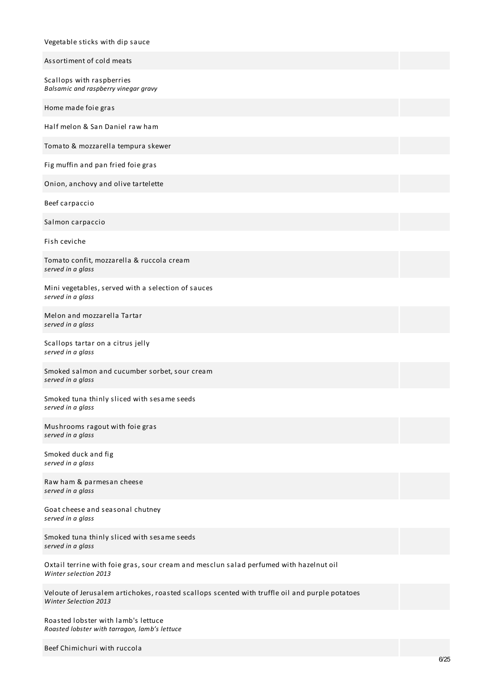| Vegetable sticks with dip sauce                                                                                                |  |
|--------------------------------------------------------------------------------------------------------------------------------|--|
| Assortiment of cold meats                                                                                                      |  |
| Scallops with raspberries<br>Balsamic and raspberry vinegar gravy                                                              |  |
| Home made foie gras                                                                                                            |  |
| Half melon & San Daniel raw ham                                                                                                |  |
| Tomato & mozzarella tempura skewer                                                                                             |  |
| Fig muffin and pan fried foie gras                                                                                             |  |
| Onion, anchovy and olive tartelette                                                                                            |  |
| Beef carpaccio                                                                                                                 |  |
| Salmon carpaccio                                                                                                               |  |
| Fish ceviche                                                                                                                   |  |
| Tomato confit, mozzarella & ruccola cream<br>served in a glass                                                                 |  |
| Mini vegetables, served with a selection of sauces<br>served in a glass                                                        |  |
| Melon and mozzarella Tartar<br>served in a glass                                                                               |  |
| Scallops tartar on a citrus jelly<br>served in a glass                                                                         |  |
| Smoked salmon and cucumber sorbet, sour cream<br>served in a glass                                                             |  |
| Smoked tuna thinly sliced with sesame seeds<br>served in a glass                                                               |  |
| Mushrooms ragout with foie gras<br>served in a glass                                                                           |  |
| Smoked duck and fig<br>served in a glass                                                                                       |  |
| Raw ham & parmesan cheese<br>served in a glass                                                                                 |  |
| Goat cheese and seasonal chutney<br>served in a glass                                                                          |  |
| Smoked tuna thinly sliced with sesame seeds<br>served in a glass                                                               |  |
| Oxtail terrine with foie gras, sour cream and mesclun salad perfumed with hazelnut oil<br>Winter selection 2013                |  |
| Veloute of Jerusalem artichokes, roasted scallops scented with truffle oil and purple potatoes<br><b>Winter Selection 2013</b> |  |
| Roasted lobster with lamb's lettuce<br>Roasted lobster with tarragon, lamb's lettuce                                           |  |

Beef Chimichuri with ruccola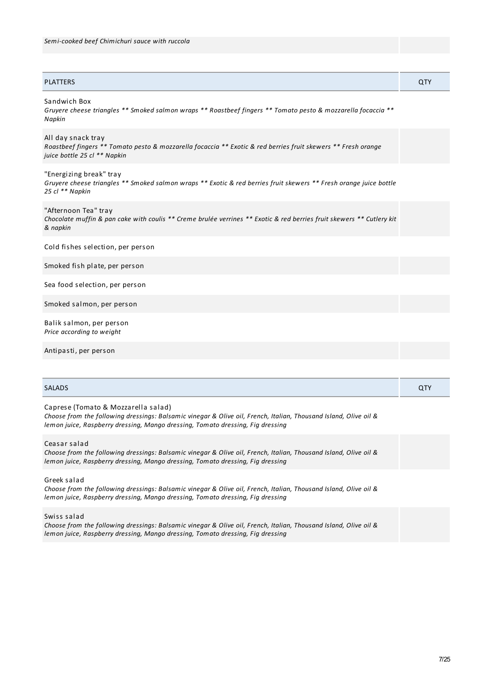### PLATTERS QTY

| <b>SALADS</b>                                                                                                                                                       | QTY |
|---------------------------------------------------------------------------------------------------------------------------------------------------------------------|-----|
|                                                                                                                                                                     |     |
| Antipasti, per person                                                                                                                                               |     |
| Balik salmon, per person<br>Price according to weight                                                                                                               |     |
| Smoked salmon, per person                                                                                                                                           |     |
| Sea food selection, per person                                                                                                                                      |     |
| Smoked fish plate, per person                                                                                                                                       |     |
| Cold fishes selection, per person                                                                                                                                   |     |
| "Afternoon Tea" tray<br>Chocolate muffin & pan cake with coulis ** Creme brulée verrines ** Exotic & red berries fruit skewers ** Cutlery kit<br>& napkin           |     |
| "Energizing break" tray<br>Gruyere cheese triangles ** Smoked salmon wraps ** Exotic & red berries fruit skewers ** Fresh orange juice bottle<br>25 cl ** Napkin    |     |
| All day snack tray<br>Roastbeef fingers ** Tomato pesto & mozzarella focaccia ** Exotic & red berries fruit skewers ** Fresh orange<br>juice bottle 25 cl ** Napkin |     |
| Sandwich Box<br>Gruyere cheese triangles ** Smoked salmon wraps ** Roastbeef fingers ** Tomato pesto & mozzarella focaccia **<br>Napkin                             |     |

Caprese (Tomato & Mozzarella salad)

Choose from the following dressings: Balsamic vinegar & Olive oil, French, Italian, Thousand Island, Olive oil & *lemon juice, Raspberry dressing, Mango dressing, Tomato dressing, Fig dressing*

#### Ceasar salad

Choose from the following dressings: Balsamic vinegar & Olive oil, French, Italian, Thousand Island, Olive oil & *lemon juice, Raspberry dressing, Mango dressing, Tomato dressing, Fig dressing*

Greek salad

Choose from the following dressings: Balsamic vinegar & Olive oil, French, Italian, Thousand Island, Olive oil & *lemon juice, Raspberry dressing, Mango dressing, Tomato dressing, Fig dressing*

Swiss salad

Choose from the following dressings: Balsamic vinegar & Olive oil, French, Italian, Thousand Island, Olive oil & *lemon juice, Raspberry dressing, Mango dressing, Tomato dressing, Fig dressing*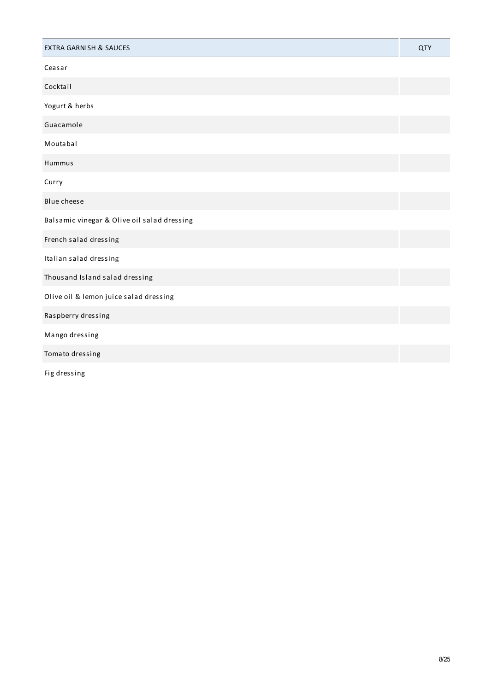| <b>EXTRA GARNISH &amp; SAUCES</b>           | <b>QTY</b> |
|---------------------------------------------|------------|
| Ceasar                                      |            |
| Cocktail                                    |            |
| Yogurt & herbs                              |            |
| Guacamole                                   |            |
| Moutabal                                    |            |
| Hummus                                      |            |
| Curry                                       |            |
| Blue cheese                                 |            |
| Balsamic vinegar & Olive oil salad dressing |            |
| French salad dressing                       |            |
| Italian salad dressing                      |            |
| Thousand Island salad dressing              |            |
| Olive oil & lemon juice salad dressing      |            |
| Raspberry dressing                          |            |
| Mango dressing                              |            |
| Tomato dressing                             |            |
|                                             |            |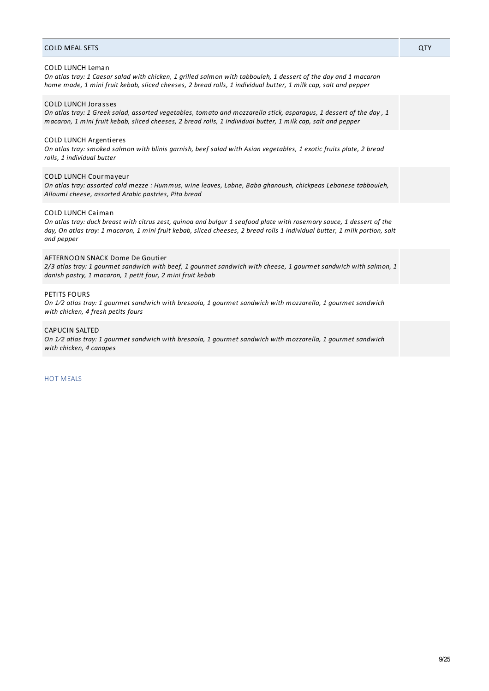#### COLD LUNCH Leman

On atlas tray: 1 Caesar salad with chicken, 1 grilled salmon with tabbouleh, 1 dessert of the day and 1 macaron home made, 1 mini fruit kebab, sliced cheeses, 2 bread rolls, 1 individual butter, 1 milk cap, salt and pepper

#### COLD LUNCH Jorasses

On atlas tray: 1 Greek salad, assorted vegetables, tomato and mozzarella stick, asparagus, 1 dessert of the day, 1 macaron, 1 mini fruit kebab, sliced cheeses, 2 bread rolls, 1 individual butter, 1 milk cap, salt and pepper

#### COLD LUNCH Argentieres

On atlas tray: smoked salmon with blinis garnish, beef salad with Asian vegetables, 1 exotic fruits plate, 2 bread *rolls, 1 individual butter*

#### COLD LUNCH Courmayeur

*On atlas tray: assorted cold mezze : Hummus, wine leaves, Labne, Baba ghanoush, chickpeas Lebanese tabbouleh, Alloumi cheese, assorted Arabic pastries, Pita bread*

#### COLD LUNCH Caiman

On atlas tray: duck breast with citrus zest, quinoa and bulgur 1 seafood plate with rosemary sauce, 1 dessert of the day, On atlas tray: 1 macaron, 1 mini fruit kebab, sliced cheeses, 2 bread rolls 1 individual butter, 1 milk portion, salt *and pepper*

#### AFTERNOON SNACK Dome De Goutier

2/3 atlas tray: 1 gourmet sandwich with beef, 1 gourmet sandwich with cheese, 1 gourmet sandwich with salmon, 1 *danish pastry, 1 macaron, 1 petit four, 2 mini fruit kebab*

#### PETITS FOURS

On 1/2 atlas tray: 1 gourmet sandwich with bresaola, 1 gourmet sandwich with mozzarella, 1 gourmet sandwich *with chicken, 4 fresh petits fours*

#### CAPUCIN SALTED

On 1/2 atlas tray: 1 gourmet sandwich with bresaola, 1 gourmet sandwich with mozzarella, 1 gourmet sandwich *with chicken, 4 canapes*

HOT MEALS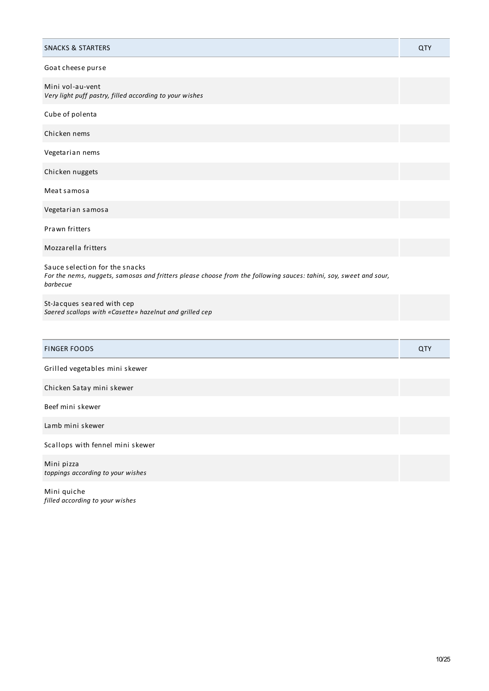| <b>SNACKS &amp; STARTERS</b>                                                                                                                                    | QTY |
|-----------------------------------------------------------------------------------------------------------------------------------------------------------------|-----|
| Goat cheese purse                                                                                                                                               |     |
| Mini vol-au-vent<br>Very light puff pastry, filled according to your wishes                                                                                     |     |
| Cube of polenta                                                                                                                                                 |     |
| Chicken nems                                                                                                                                                    |     |
| Vegetarian nems                                                                                                                                                 |     |
| Chicken nuggets                                                                                                                                                 |     |
| Meat samosa                                                                                                                                                     |     |
| Vegetarian samosa                                                                                                                                               |     |
| Prawn fritters                                                                                                                                                  |     |
| Mozzarella fritters                                                                                                                                             |     |
| Sauce selection for the snacks<br>For the nems, nuggets, samosas and fritters please choose from the following sauces: tahini, soy, sweet and sour,<br>barbecue |     |
| St-Jacques seared with cep<br>Saered scallops with «Casette» hazelnut and grilled cep                                                                           |     |
|                                                                                                                                                                 |     |
| <b>FINGER FOODS</b>                                                                                                                                             | QTY |
| Grilled vegetables mini skewer                                                                                                                                  |     |
| Chicken Satay mini skewer                                                                                                                                       |     |
| Beef mini skewer                                                                                                                                                |     |
| Lamb mini skewer                                                                                                                                                |     |
| Scallops with fennel mini skewer                                                                                                                                |     |
| Mini pizza<br>toppings according to your wishes                                                                                                                 |     |
| Mini quiche<br>filled according to your wishes                                                                                                                  |     |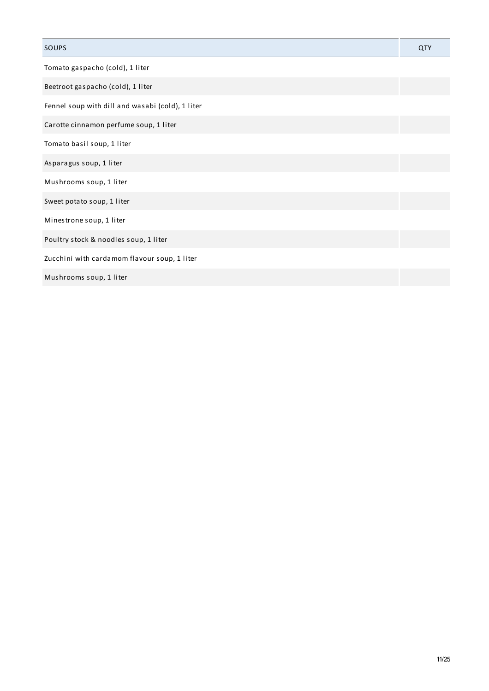| SOUPS                                            | QTY |
|--------------------------------------------------|-----|
| Tomato gaspacho (cold), 1 liter                  |     |
| Beetroot gaspacho (cold), 1 liter                |     |
| Fennel soup with dill and wasabi (cold), 1 liter |     |
| Carotte cinnamon perfume soup, 1 liter           |     |
| Tomato basil soup, 1 liter                       |     |
| Asparagus soup, 1 liter                          |     |
| Mushrooms soup, 1 liter                          |     |
| Sweet potato soup, 1 liter                       |     |
| Minestrone soup, 1 liter                         |     |
| Poultry stock & noodles soup, 1 liter            |     |
| Zucchini with cardamom flavour soup, 1 liter     |     |
| Mushrooms soup, 1 liter                          |     |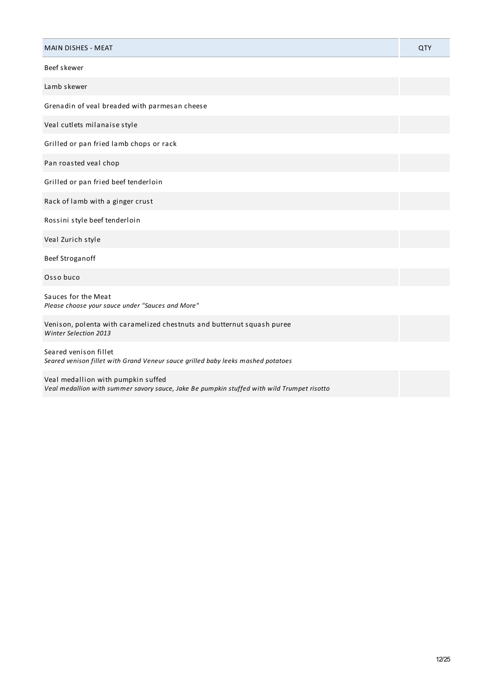| <b>MAIN DISHES - MEAT</b>                                                                                                        | QTY |
|----------------------------------------------------------------------------------------------------------------------------------|-----|
| Beef skewer                                                                                                                      |     |
| Lamb skewer                                                                                                                      |     |
| Grenadin of veal breaded with parmesan cheese                                                                                    |     |
| Veal cutlets milanaise style                                                                                                     |     |
| Grilled or pan fried lamb chops or rack                                                                                          |     |
| Pan roasted veal chop                                                                                                            |     |
| Grilled or pan fried beef tenderloin                                                                                             |     |
| Rack of lamb with a ginger crust                                                                                                 |     |
| Rossini style beef tenderloin                                                                                                    |     |
| Veal Zurich style                                                                                                                |     |
| Beef Stroganoff                                                                                                                  |     |
| Osso buco                                                                                                                        |     |
| Sauces for the Meat<br>Please choose your sauce under "Sauces and More"                                                          |     |
| Venison, polenta with caramelized chestnuts and butternut squash puree<br>Winter Selection 2013                                  |     |
| Seared venison fillet<br>Seared venison fillet with Grand Veneur sauce grilled baby leeks mashed potatoes                        |     |
| Veal medallion with pumpkin suffed<br>Veal medallion with summer savory sauce, Jake Be pumpkin stuffed with wild Trumpet risotto |     |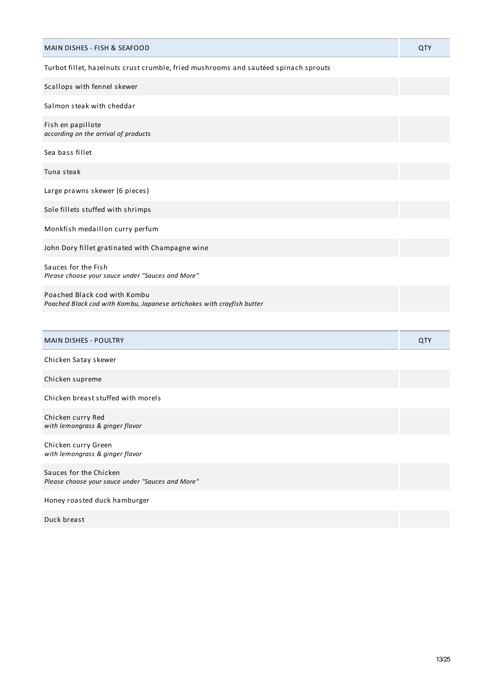| MAIN DISHES - FISH & SEAFOOD                                                                           | QTY |
|--------------------------------------------------------------------------------------------------------|-----|
| Turbot fillet, hazelnuts crust crumble, fried mushrooms and sautéed spinach sprouts                    |     |
| Scallops with fennel skewer                                                                            |     |
| Salmon steak with cheddar                                                                              |     |
| Fish en papillote<br>according on the arrival of products                                              |     |
| Sea bass fillet                                                                                        |     |
| Tuna steak                                                                                             |     |
| Large prawns skewer (6 pieces)                                                                         |     |
| Sole fillets stuffed with shrimps                                                                      |     |
| Monkfish medaillon curry perfum                                                                        |     |
| John Dory fillet gratinated with Champagne wine                                                        |     |
| Sauces for the Fish<br>Please choose your sauce under "Sauces and More"                                |     |
| Poached Black cod with Kombu<br>Poached Black cod with Kombu, Japanese artichokes with crayfish butter |     |
| <b>MAIN DISHES - POULTRY</b>                                                                           | QTY |
| Chicken Satay skewer                                                                                   |     |
| Chicken supreme                                                                                        |     |
| Chicken breast stuffed with morels                                                                     |     |
| Chicken curry Red<br>with lemongrass & ginger flavor                                                   |     |
| Chicken curry Green<br>with lemongrass & ginger flavor                                                 |     |
| Sauces for the Chicken<br>Please choose your sauce under "Sauces and More"                             |     |
| Honey roasted duck hamburger                                                                           |     |
| Duck breast                                                                                            |     |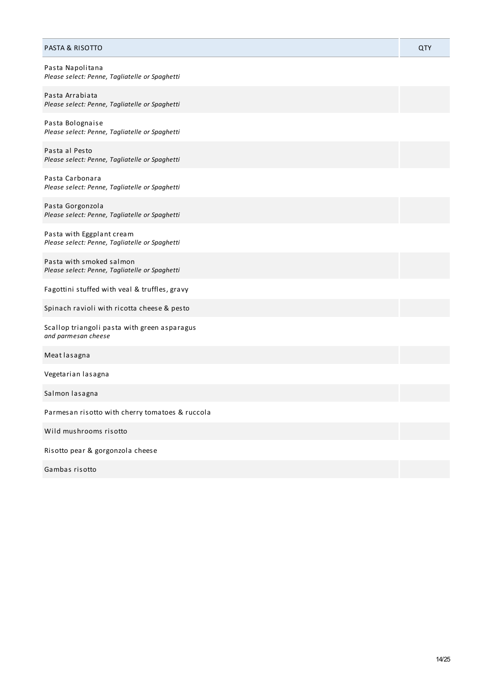# PASTA & RISOTTO QTY Pasta Napolitana *Please select: Penne, Tagliatelle or Spaghetti* Pasta Arrabiata *Please select: Penne, Tagliatelle or Spaghetti* Pasta Bolognaise *Please select: Penne, Tagliatelle or Spaghetti* Pasta al Pesto *Please select: Penne, Tagliatelle or Spaghetti* Pasta Carbonara *Please select: Penne, Tagliatelle or Spaghetti* Pasta Gorgonzola *Please select: Penne, Tagliatelle or Spaghetti* Pasta with Eggplant cream *Please select: Penne, Tagliatelle or Spaghetti* Pasta with smoked salmon *Please select: Penne, Tagliatelle or Spaghetti* Fagottini stuffed with veal & truffles, gravy Spinach ravioli with ricotta cheese & pesto Scallop triangoli pasta with green asparagus *and parmesan cheese* Meat lasagna Vegetarian lasagna Salmon lasagna Parmesan risotto with cherry tomatoes & ruccola Wild mushrooms risotto Risotto pear & gorgonzola cheese Gambas risotto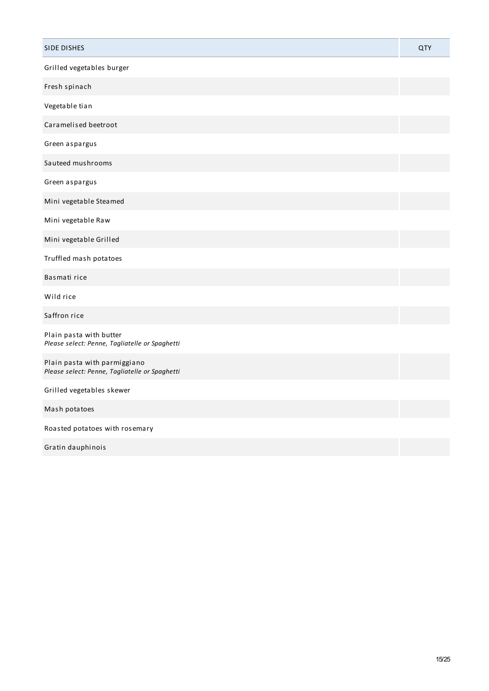| <b>SIDE DISHES</b>                                                             | <b>QTY</b> |
|--------------------------------------------------------------------------------|------------|
| Grilled vegetables burger                                                      |            |
| Fresh spinach                                                                  |            |
| Vegetable tian                                                                 |            |
| Caramelised beetroot                                                           |            |
| Green aspargus                                                                 |            |
| Sauteed mushrooms                                                              |            |
| Green aspargus                                                                 |            |
| Mini vegetable Steamed                                                         |            |
| Mini vegetable Raw                                                             |            |
| Mini vegetable Grilled                                                         |            |
| Truffled mash potatoes                                                         |            |
| Basmati rice                                                                   |            |
| Wild rice                                                                      |            |
| Saffron rice                                                                   |            |
| Plain pasta with butter<br>Please select: Penne, Tagliatelle or Spaghetti      |            |
| Plain pasta with parmiggiano<br>Please select: Penne, Tagliatelle or Spaghetti |            |
| Grilled vegetables skewer                                                      |            |
| Mash potatoes                                                                  |            |
| Roasted potatoes with rosemary                                                 |            |
| Gratin dauphinois                                                              |            |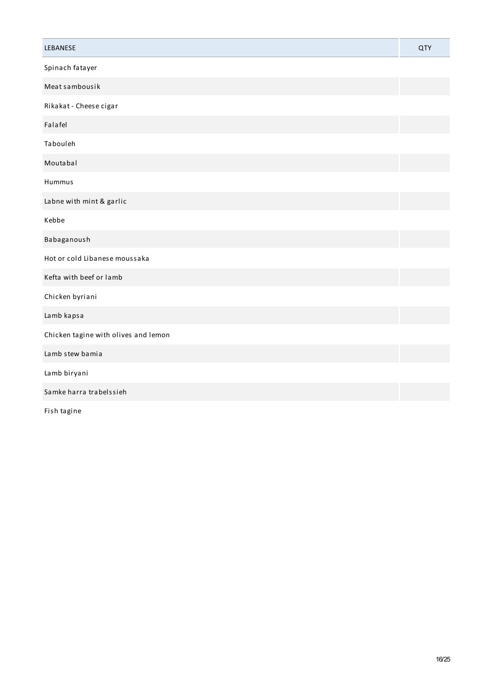| LEBANESE                             | <b>QTY</b> |
|--------------------------------------|------------|
| Spinach fatayer                      |            |
| Meat sambousik                       |            |
| Rikakat - Cheese cigar               |            |
| Falafel                              |            |
| Tabouleh                             |            |
| Moutabal                             |            |
| Hummus                               |            |
| Labne with mint & garlic             |            |
| Kebbe                                |            |
| Babaganoush                          |            |
| Hot or cold Libanese moussaka        |            |
| Kefta with beef or lamb              |            |
| Chicken byriani                      |            |
| Lamb kapsa                           |            |
| Chicken tagine with olives and lemon |            |
| Lamb stew bamia                      |            |
| Lamb biryani                         |            |
| Samke harra trabelssieh              |            |
| -- - -<br>$\sim$                     |            |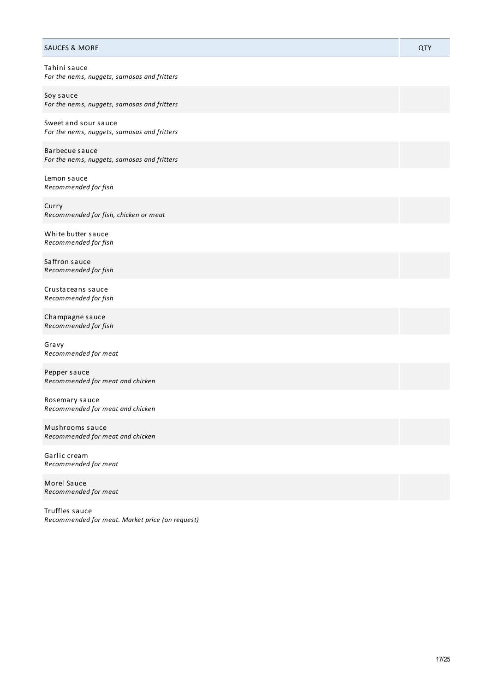# SAUCES & MORE QTY Tahini sauce *For the nems, nuggets, samosas and fritters* Soy sauce *For the nems, nuggets, samosas and fritters* Sweet and sour sauce *For the nems, nuggets, samosas and fritters* Barbecue sauce *For the nems, nuggets, samosas and fritters* Lemon sauce *Recommended for fish* Curry *Recommended for fish, chicken or meat* White butter sauce *Recommended for fish* Saffron sauce *Recommended for fish* Crustaceans sauce *Recommended for fish* Champagne sauce *Recommended for fish* Gravy *Recommended for meat* Pepper sauce *Recommended for meat and chicken* Rosemary sauce *Recommended for meat and chicken* Mushrooms sauce *Recommended for meat and chicken* Garlic cream *Recommended for meat*

Morel Sauce *Recommended for meat*

Truffles sauce *Recommended for meat. Market price (on request)*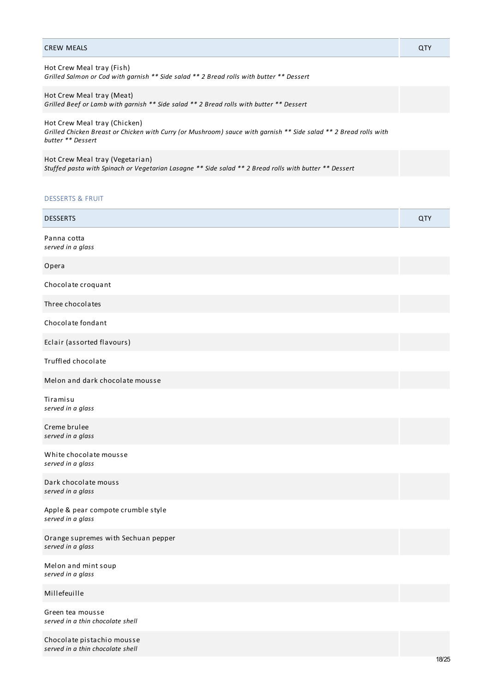| <b>CREW MEALS</b>                                                                                                                                                      | QTY |
|------------------------------------------------------------------------------------------------------------------------------------------------------------------------|-----|
| Hot Crew Meal tray (Fish)<br>Grilled Salmon or Cod with garnish ** Side salad ** 2 Bread rolls with butter ** Dessert                                                  |     |
| Hot Crew Meal tray (Meat)<br>Grilled Beef or Lamb with garnish ** Side salad ** 2 Bread rolls with butter ** Dessert                                                   |     |
| Hot Crew Meal tray (Chicken)<br>Grilled Chicken Breast or Chicken with Curry (or Mushroom) sauce with garnish ** Side salad ** 2 Bread rolls with<br>butter ** Dessert |     |
| Hot Crew Meal tray (Vegetarian)<br>Stuffed pasta with Spinach or Vegetarian Lasagne ** Side salad ** 2 Bread rolls with butter ** Dessert                              |     |

# DESSERTS & FRUIT

| <b>DESSERTS</b>                                          | QTY |
|----------------------------------------------------------|-----|
| Panna cotta<br>served in a glass                         |     |
| Opera                                                    |     |
| Chocolate croquant                                       |     |
| Three chocolates                                         |     |
| Chocolate fondant                                        |     |
| Eclair (assorted flavours)                               |     |
| Truffled chocolate                                       |     |
| Melon and dark chocolate mousse                          |     |
| Tiramisu<br>served in a glass                            |     |
| Creme brulee<br>served in a glass                        |     |
| White chocolate mousse<br>served in a glass              |     |
| Dark chocolate mouss<br>served in a glass                |     |
| Apple & pear compote crumble style<br>served in a glass  |     |
| Orange supremes with Sechuan pepper<br>served in a glass |     |
| Melon and mint soup<br>served in a glass                 |     |
| Millefeuille                                             |     |
| Green tea mousse<br>served in a thin chocolate shell     |     |

Chocolate pistachio mousse *served in a thin chocolate shell*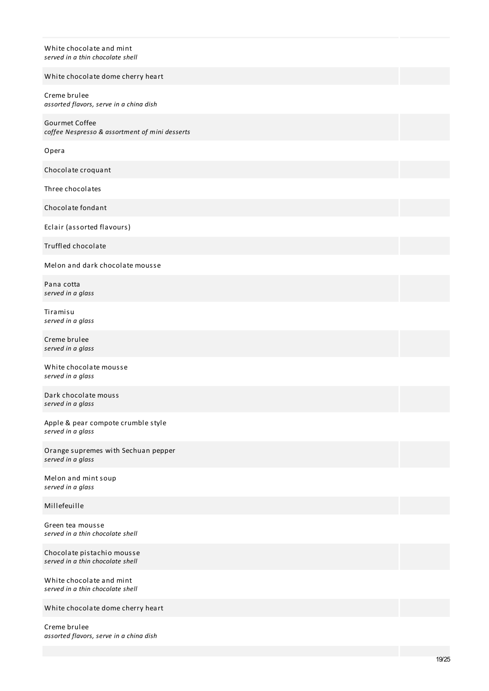| White chocolate and mint<br>served in a thin chocolate shell            |  |
|-------------------------------------------------------------------------|--|
| White chocolate dome cherry heart                                       |  |
| Creme brulee<br>assorted flavors, serve in a china dish                 |  |
| <b>Gourmet Coffee</b><br>coffee Nespresso & assortment of mini desserts |  |
| Opera                                                                   |  |
| Chocolate croquant                                                      |  |
| Three chocolates                                                        |  |
| Chocolate fondant                                                       |  |
| Eclair (assorted flavours)                                              |  |
| Truffled chocolate                                                      |  |
| Melon and dark chocolate mousse                                         |  |
| Pana cotta<br>served in a glass                                         |  |
| Tiramisu<br>served in a glass                                           |  |
| Creme brulee<br>served in a glass                                       |  |
| White chocolate mousse<br>served in a glass                             |  |
| Dark chocolate mouss<br>served in a glass                               |  |
| Apple & pear compote crumble style<br>served in a glass                 |  |
| Orange supremes with Sechuan pepper<br>served in a glass                |  |
| Melon and mint soup<br>served in a glass                                |  |
| Millefeuille                                                            |  |
| Green tea mousse<br>served in a thin chocolate shell                    |  |
| Chocolate pistachio mousse<br>served in a thin chocolate shell          |  |
| White chocolate and mint<br>served in a thin chocolate shell            |  |
| White chocolate dome cherry heart                                       |  |

Creme brulee assorted flavors, serve in a china dish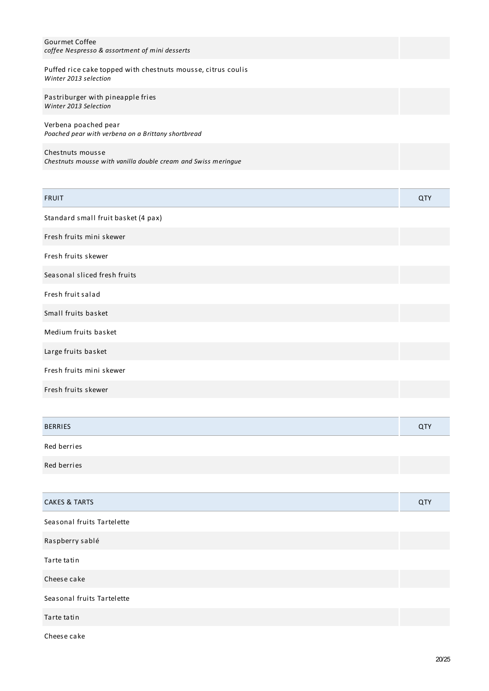| <b>Gourmet Coffee</b><br>coffee Nespresso & assortment of mini desserts               |     |
|---------------------------------------------------------------------------------------|-----|
| Puffed rice cake topped with chestnuts mousse, citrus coulis<br>Winter 2013 selection |     |
| Pastriburger with pineapple fries<br>Winter 2013 Selection                            |     |
| Verbena poached pear<br>Poached pear with verbena on a Brittany shortbread            |     |
| Chestnuts mousse<br>Chestnuts mousse with vanilla double cream and Swiss meringue     |     |
|                                                                                       |     |
| <b>FRUIT</b>                                                                          | QTY |
| Standard small fruit basket (4 pax)                                                   |     |
| Fresh fruits mini skewer                                                              |     |
| Fresh fruits skewer                                                                   |     |
| Seasonal sliced fresh fruits                                                          |     |
| Fresh fruit salad                                                                     |     |
| Small fruits basket                                                                   |     |
| Medium fruits basket                                                                  |     |
| Large fruits basket                                                                   |     |
| Fresh fruits mini skewer                                                              |     |
| Fresh fruits skewer                                                                   |     |
|                                                                                       |     |
| <b>BERRIES</b>                                                                        | QTY |

Red berries

Red berries

| <b>CAKES &amp; TARTS</b>   | QTY |
|----------------------------|-----|
| Seasonal fruits Tartelette |     |
| Raspberry sablé            |     |
| Tarte tatin                |     |
| Cheese cake                |     |
| Seasonal fruits Tartelette |     |
| Tarte tatin                |     |
| Cheese cake                |     |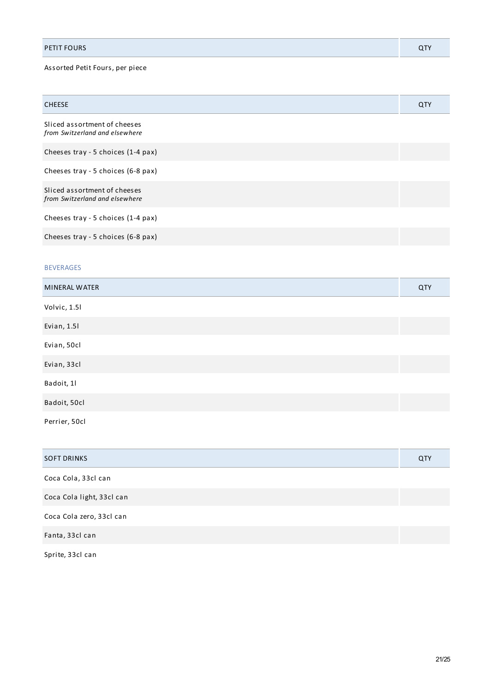| PETIT FOURS |  |
|-------------|--|
|             |  |

# Assorted Petit Fours, per piece

| <b>CHEESE</b>                                                  | QTY |
|----------------------------------------------------------------|-----|
| Sliced assortment of cheeses<br>from Switzerland and elsewhere |     |
| Cheeses tray - 5 choices (1-4 pax)                             |     |
| Cheeses tray - 5 choices (6-8 pax)                             |     |
| Sliced assortment of cheeses<br>from Switzerland and elsewhere |     |
| Cheeses tray - 5 choices (1-4 pax)                             |     |
| Cheeses tray - 5 choices (6-8 pax)                             |     |

# BEVERAGES

| MINERAL WATER | QTY |
|---------------|-----|
| Volvic, 1.51  |     |
| Evian, 1.51   |     |
| Evian, 50cl   |     |
| Evian, 33cl   |     |
| Badoit, 11    |     |
| Badoit, 50cl  |     |
| Perrier, 50cl |     |

| <b>SOFT DRINKS</b>        | QTY |
|---------------------------|-----|
| Coca Cola, 33cl can       |     |
| Coca Cola light, 33cl can |     |
| Coca Cola zero, 33cl can  |     |
| Fanta, 33cl can           |     |
|                           |     |

Sprite, 33cl can

T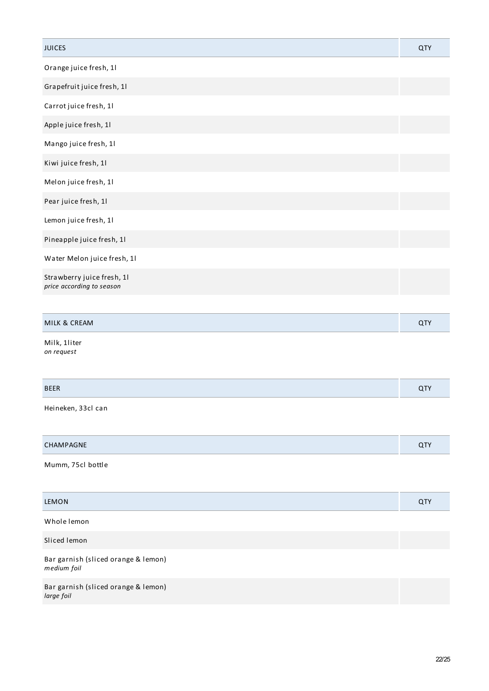| <b>JUICES</b>                                           | QTY |
|---------------------------------------------------------|-----|
| Orange juice fresh, 1l                                  |     |
| Grapefruit juice fresh, 11                              |     |
| Carrot juice fresh, 1l                                  |     |
| Apple juice fresh, 11                                   |     |
| Mango juice fresh, 1l                                   |     |
| Kiwi juice fresh, 1l                                    |     |
| Melon juice fresh, 1l                                   |     |
| Pear juice fresh, 1l                                    |     |
| Lemon juice fresh, 1l                                   |     |
| Pineapple juice fresh, 1l                               |     |
| Water Melon juice fresh, 1l                             |     |
| Strawberry juice fresh, 1l<br>price according to season |     |
|                                                         |     |
| MILK & CREAM                                            | QTY |
| Milk, 1liter<br>on request                              |     |
| <b>BEER</b>                                             | QTY |
| Heineken, 33cl can                                      |     |
| CHAMPAGNE                                               | QTY |
| Mumm, 75cl bottle                                       |     |
| LEMON                                                   | QTY |
| Whole lemon                                             |     |
| Sliced lemon                                            |     |
| Bar garnish (sliced orange & lemon)<br>medium foil      |     |
| Bar garnish (sliced orange & lemon)<br>large foil       |     |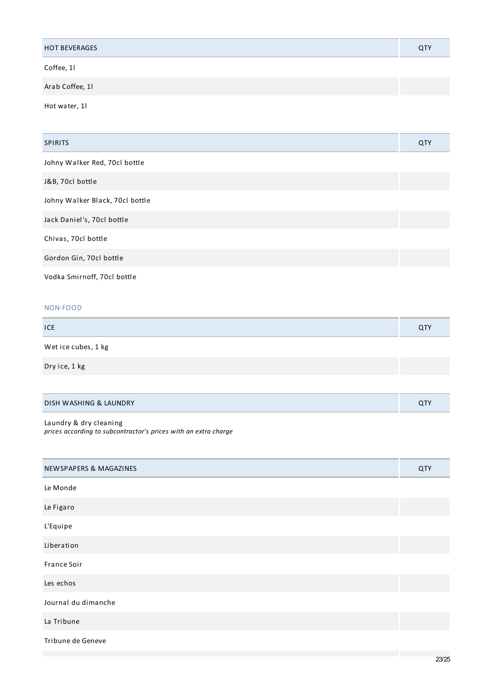| <b>HOT BEVERAGES</b> | QT) |
|----------------------|-----|
| Coffee, 11           |     |

Arab Coffee, 1l

Hot water, 1l

| <b>SPIRITS</b>                  | QTY |
|---------------------------------|-----|
| Johny Walker Red, 70cl bottle   |     |
| J&B, 70cl bottle                |     |
| Johny Walker Black, 70cl bottle |     |
| Jack Daniel's, 70cl bottle      |     |
| Chivas, 70cl bottle             |     |
| Gordon Gin, 70cl bottle         |     |
| Vodka Smirnoff, 70cl bottle     |     |

# NON-FOOD

| <b>ICE</b>          | QTY |
|---------------------|-----|
| Wet ice cubes, 1 kg |     |
| Dry ice, 1 kg       |     |

## DISH WASHING & LAUNDRY QTY

Laundry & dry cleaning

*prices according to subcontractor's prices with an extra charge*

| NEWSPAPERS & MAGAZINES | QTY |
|------------------------|-----|
| Le Monde               |     |
| Le Figaro              |     |
| L'Equipe               |     |
| Liberation             |     |
| <b>France Soir</b>     |     |
| Les echos              |     |
| Journal du dimanche    |     |
| La Tribune             |     |
| Tribune de Geneve      |     |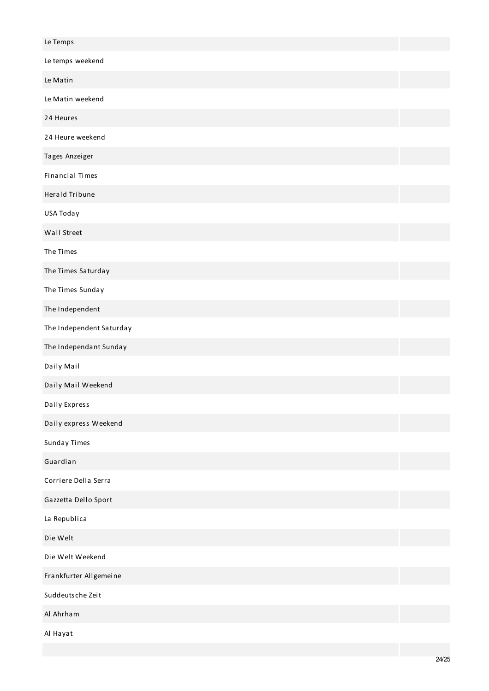| Le Temps                 |  |
|--------------------------|--|
| Le temps weekend         |  |
| Le Matin                 |  |
| Le Matin weekend         |  |
| 24 Heures                |  |
| 24 Heure weekend         |  |
| Tages Anzeiger           |  |
| <b>Financial Times</b>   |  |
| Herald Tribune           |  |
| USA Today                |  |
| Wall Street              |  |
| The Times                |  |
| The Times Saturday       |  |
| The Times Sunday         |  |
| The Independent          |  |
| The Independent Saturday |  |
| The Independant Sunday   |  |
| Daily Mail               |  |
| Daily Mail Weekend       |  |
| Daily Express            |  |
| Daily express Weekend    |  |
| <b>Sunday Times</b>      |  |
| Guardian                 |  |
| Corriere Della Serra     |  |
| Gazzetta Dello Sport     |  |
| La Republica             |  |
| Die Welt                 |  |
| Die Welt Weekend         |  |
| Frankfurter Allgemeine   |  |
| Suddeutsche Zeit         |  |
| Al Ahrham                |  |
| Al Hayat                 |  |